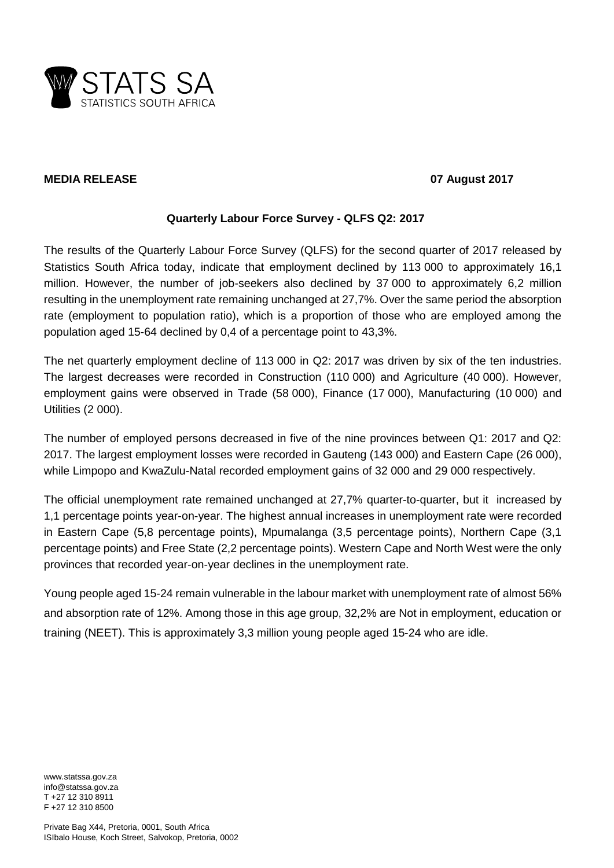

# **MEDIA RELEASE 07 August 2017**

# **Quarterly Labour Force Survey - QLFS Q2: 2017**

The results of the Quarterly Labour Force Survey (QLFS) for the second quarter of 2017 released by Statistics South Africa today, indicate that employment declined by 113 000 to approximately 16,1 million. However, the number of job-seekers also declined by 37 000 to approximately 6,2 million resulting in the unemployment rate remaining unchanged at 27,7%. Over the same period the absorption rate (employment to population ratio), which is a proportion of those who are employed among the population aged 15-64 declined by 0,4 of a percentage point to 43,3%.

The net quarterly employment decline of 113 000 in Q2: 2017 was driven by six of the ten industries. The largest decreases were recorded in Construction (110 000) and Agriculture (40 000). However, employment gains were observed in Trade (58 000), Finance (17 000), Manufacturing (10 000) and Utilities (2 000).

The number of employed persons decreased in five of the nine provinces between Q1: 2017 and Q2: 2017. The largest employment losses were recorded in Gauteng (143 000) and Eastern Cape (26 000), while Limpopo and KwaZulu-Natal recorded employment gains of 32 000 and 29 000 respectively.

The official unemployment rate remained unchanged at 27,7% quarter-to-quarter, but it increased by 1,1 percentage points year-on-year. The highest annual increases in unemployment rate were recorded in Eastern Cape (5,8 percentage points), Mpumalanga (3,5 percentage points), Northern Cape (3,1 percentage points) and Free State (2,2 percentage points). Western Cape and North West were the only provinces that recorded year-on-year declines in the unemployment rate.

Young people aged 15-24 remain vulnerable in the labour market with unemployment rate of almost 56% and absorption rate of 12%. Among those in this age group, 32,2% are Not in employment, education or training (NEET). This is approximately 3,3 million young people aged 15-24 who are idle.

www.statssa.gov.za info@statssa.gov.za T +27 12 310 8911 F +27 12 310 8500